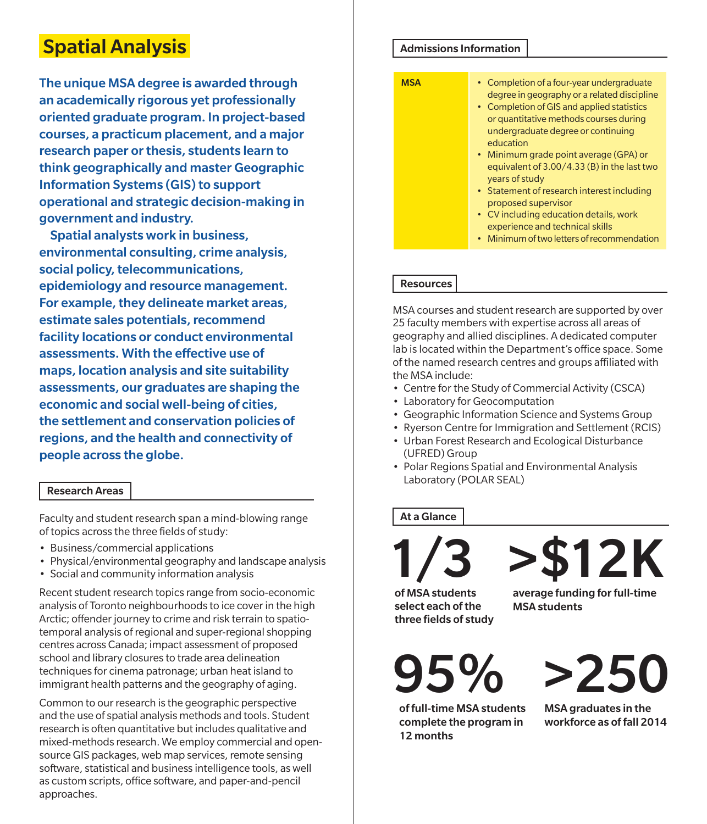# Spatial Analysis

The unique MSA degree is awarded through an academically rigorous yet professionally oriented graduate program. In project-based courses, a practicum placement, and a major research paper or thesis, students learn to think geographically and master Geographic Information Systems (GIS) to support operational and strategic decision-making in government and industry.

Spatial analysts work in business, environmental consulting, crime analysis, social policy, telecommunications, epidemiology and resource management. For example, they delineate market areas, estimate sales potentials, recommend facility locations or conduct environmental assessments. With the effective use of maps, location analysis and site suitability assessments, our graduates are shaping the economic and social well-being of cities, the settlement and conservation policies of regions, and the health and connectivity of people across the globe.

## Research Areas

Faculty and student research span a mind-blowing range of topics across the three fields of study:

- Business/commercial applications
- Physical/environmental geography and landscape analysis
- Social and community information analysis

Recent student research topics range from socio-economic analysis of Toronto neighbourhoods to ice cover in the high Arctic; offender journey to crime and risk terrain to spatiotemporal analysis of regional and super-regional shopping centres across Canada; impact assessment of proposed school and library closures to trade area delineation techniques for cinema patronage; urban heat island to immigrant health patterns and the geography of aging.

Common to our research is the geographic perspective and the use of spatial analysis methods and tools. Student research is often quantitative but includes qualitative and mixed-methods research. We employ commercial and opensource GIS packages, web map services, remote sensing software, statistical and business intelligence tools, as well as custom scripts, office software, and paper-and-pencil approaches.

#### Admissions Information



## **Resources**

MSA courses and student research are supported by over 25 faculty members with expertise across all areas of geography and allied disciplines. A dedicated computer lab is located within the Department's office space. Some of the named research centres and groups affiliated with the MSA include:

- Centre for the Study of Commercial Activity (CSCA)
- Laboratory for Geocomputation
- Geographic Information Science and Systems Group
- Ryerson Centre for Immigration and Settlement (RCIS)
- Urban Forest Research and Ecological Disturbance (UFRED) Group
- Polar Regions Spatial and Environmental Analysis Laboratory (POLAR SEAL)

## At a Glance

of MSA students select each of the three fields of study 1/3 >\$12K average funding for full-time MSA students

95% of full-time MSA students

12 months

complete the program in

>250

MSA graduates in the workforce as of fall 2014